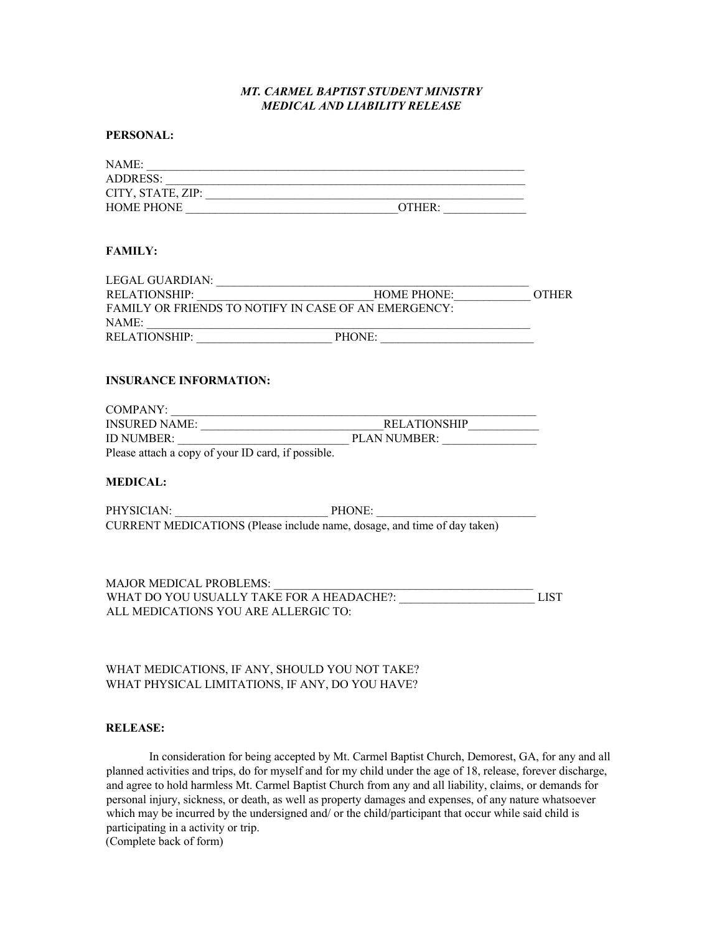## *MT. CARMEL BAPTIST STUDENT MINISTRY MEDICAL AND LIABILITY RELEASE*

## **PERSONAL:**

| NAME:                                              |                                                                          |             |
|----------------------------------------------------|--------------------------------------------------------------------------|-------------|
|                                                    |                                                                          |             |
|                                                    |                                                                          |             |
|                                                    |                                                                          |             |
| <b>FAMILY:</b>                                     |                                                                          |             |
|                                                    |                                                                          |             |
|                                                    |                                                                          |             |
|                                                    |                                                                          |             |
|                                                    |                                                                          |             |
| <b>INSURANCE INFORMATION:</b>                      |                                                                          |             |
|                                                    | COMPANY:<br>INSURED NAME:<br>ID NUMBER:<br>ID NUMBER:<br>PLAN NUMBER:    |             |
|                                                    |                                                                          |             |
|                                                    |                                                                          |             |
| Please attach a copy of your ID card, if possible. |                                                                          |             |
| <b>MEDICAL:</b>                                    |                                                                          |             |
|                                                    | PHYSICIAN: PHYSICIAN: PHONE:                                             |             |
|                                                    | CURRENT MEDICATIONS (Please include name, dosage, and time of day taken) |             |
|                                                    |                                                                          |             |
|                                                    |                                                                          | <b>LIST</b> |
| ALL MEDICATIONS YOU ARE ALLERGIC TO:               |                                                                          |             |
|                                                    |                                                                          |             |
|                                                    |                                                                          |             |

## WHAT MEDICATIONS, IF ANY, SHOULD YOU NOT TAKE? WHAT PHYSICAL LIMITATIONS, IF ANY, DO YOU HAVE?

## **RELEASE:**

In consideration for being accepted by Mt. Carmel Baptist Church, Demorest, GA, for any and all planned activities and trips, do for myself and for my child under the age of 18, release, forever discharge, and agree to hold harmless Mt. Carmel Baptist Church from any and all liability, claims, or demands for personal injury, sickness, or death, as well as property damages and expenses, of any nature whatsoever which may be incurred by the undersigned and/ or the child/participant that occur while said child is participating in a activity or trip. (Complete back of form)